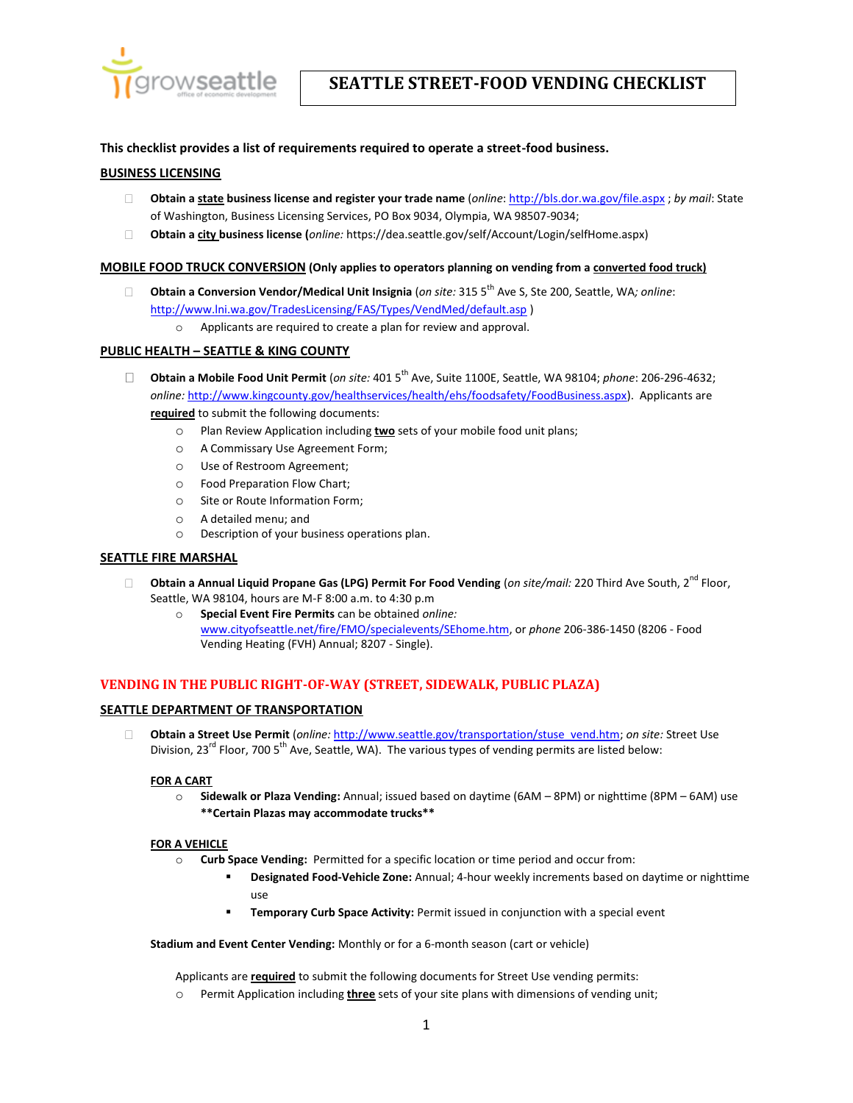

## **This checklist provides a list of requirements required to operate a street-food business.**

### **BUSINESS LICENSING**

- **Obtain a state business license and register your trade name** (*online*[: http://bls.dor.wa.gov/file.aspx](http://bls.dor.wa.gov/file.aspx) ; *by mail*: State of Washington, Business Licensing Services, PO Box 9034, Olympia, WA 98507-9034;
- $\Box$ **Obtain a city business license (***online:* [https://dea.seattle.gov/self/Account/Login/selfHome.aspx\)](https://dea.seattle.gov/self/Account/Login/selfHome.aspx)

#### **MOBILE FOOD TRUCK CONVERSION (Only applies to operators planning on vending from a converted food truck)**

- **Obtain a Conversion Vendor/Medical Unit Insignia** (*on site:* 315 5th Ave S, Ste 200, Seattle, WA*; online*:  $\Box$ [http://www.lni.wa.gov/TradesLicensing/FAS/Types/VendMed/default.asp \)](http://www.lni.wa.gov/TradesLicensing/FAS/Types/VendMed/default.asp)
	- o Applicants are required to create a plan for review and approval.

### **PUBLIC HEALTH – SEATTLE & KING COUNTY**

- **Obtain a Mobile Food Unit Permit** (*on site:* 401 5th Ave, Suite 1100E, Seattle, WA 98104; *phone*: 206-296-4632;  $\Box$ *online:* [http://www.kingcounty.gov/healthservices/health/ehs/foodsafety/FoodBusiness.aspx\)](http://www.kingcounty.gov/healthservices/health/ehs/foodsafety/FoodBusiness.aspx). Applicants are **required** to submit the following documents:
	- o Plan Review Application including **two** sets of your mobile food unit plans;
	- o A Commissary Use Agreement Form;
	- o Use of Restroom Agreement;
	- o Food Preparation Flow Chart;
	- o Site or Route Information Form;
	- o A detailed menu; and
	- o Description of your business operations plan.

### **SEATTLE FIRE MARSHAL**

- **Obtain a Annual Liquid Propane Gas (LPG) Permit For Food Vending (***on site/mail:* **220 Third Ave South, 2<sup>nd</sup> Floor,**  $\Box$ Seattle, WA 98104, hours are M-F 8:00 a.m. to 4:30 p.m
	- o **Special Event Fire Permits** can be obtained *online:* [www.cityofseattle.net/fire/FMO/specialevents/SEhome.htm,](file://SEA100_EXEC_SERVER/V4/EXEC/DEPTS/OED/Business%20Services%20Team/PROJECTS/Street-Food%20Vending/www.cityofseattle.net/fire/FMO/specialevents/SEhome.htm) or *phone* 206-386-1450 (8206 - Food Vending Heating (FVH) Annual; 8207 - Single).

## **VENDING IN THE PUBLIC RIGHT-OF-WAY (STREET, SIDEWALK, PUBLIC PLAZA)**

#### **SEATTLE DEPARTMENT OF TRANSPORTATION**

**Obtain a Street Use Permit** (*online:* [http://www.seattle.gov/transportation/stuse\\_vend.htm;](http://www.seattle.gov/transportation/stuse_vend.htm) *on site:* Street Use П. Division, 23<sup>rd</sup> Floor, 700 5<sup>th</sup> Ave, Seattle, WA). The various types of vending permits are listed below:

### **FOR A CART**

o **Sidewalk or Plaza Vending:** Annual; issued based on daytime (6AM – 8PM) or nighttime (8PM – 6AM) use **\*\*Certain Plazas may accommodate trucks\*\***

#### **FOR A VEHICLE**

- o **Curb Space Vending:** Permitted for a specific location or time period and occur from:
	- **Designated Food-Vehicle Zone:** Annual; 4-hour weekly increments based on daytime or nighttime use
	- **Temporary Curb Space Activity:** Permit issued in conjunction with a special event

**Stadium and Event Center Vending:** Monthly or for a 6-month season (cart or vehicle)

Applicants are **required** to submit the following documents for Street Use vending permits:

o Permit Application including **three** sets of your site plans with dimensions of vending unit;